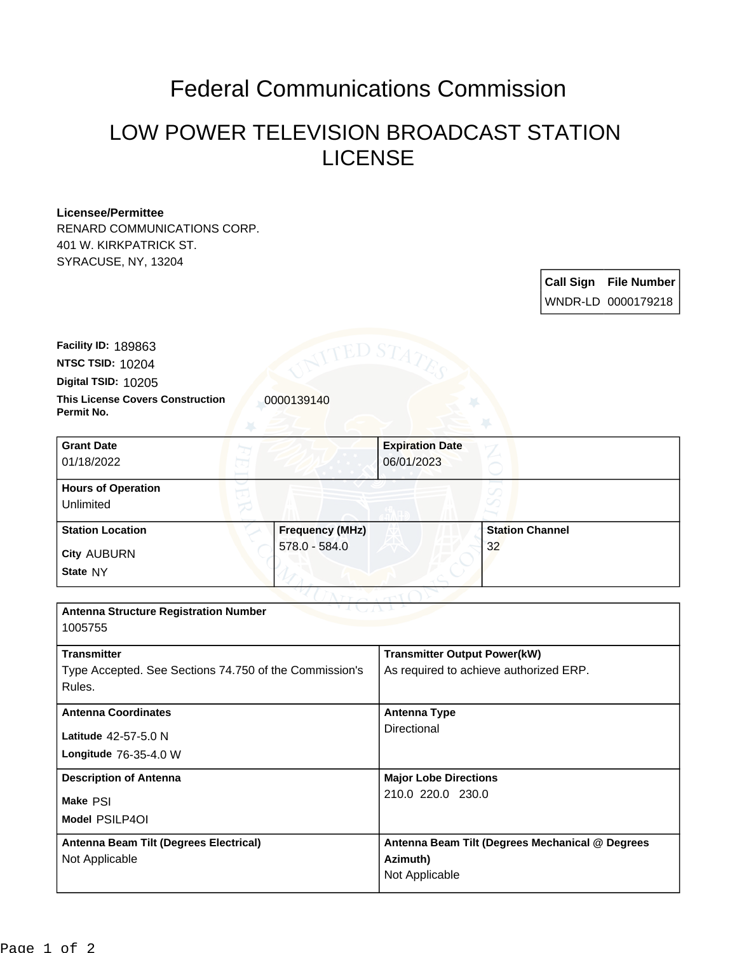## Federal Communications Commission

## LOW POWER TELEVISION BROADCAST STATION LICENSE

## **Licensee/Permittee**

RENARD COMMUNICATIONS CORP. 401 W. KIRKPATRICK ST. SYRACUSE, NY, 13204

> **Call Sign File Number** WNDR-LD 0000179218

**This License Covers Construction 10000139140 Permit No. Digital TSID:** 10205 **NTSC TSID:** 10204 **Facility ID:** 189863

| <b>Grant Date</b><br>01/18/2022        |               | <b>Expiration Date</b><br>06/01/2023 |                        |
|----------------------------------------|---------------|--------------------------------------|------------------------|
| <b>Hours of Operation</b><br>Unlimited |               |                                      |                        |
| <b>Station Location</b>                |               | <b>Frequency (MHz)</b>               | <b>Station Channel</b> |
| <b>City AUBURN</b><br>State NY         | 578.0 - 584.0 |                                      | 32                     |

| <b>Antenna Structure Registration Number</b>           |                                                 |  |  |  |
|--------------------------------------------------------|-------------------------------------------------|--|--|--|
| 1005755                                                |                                                 |  |  |  |
| <b>Transmitter</b>                                     | <b>Transmitter Output Power(kW)</b>             |  |  |  |
| Type Accepted. See Sections 74.750 of the Commission's | As required to achieve authorized ERP.          |  |  |  |
| Rules.                                                 |                                                 |  |  |  |
| <b>Antenna Coordinates</b>                             | Antenna Type                                    |  |  |  |
|                                                        | Directional                                     |  |  |  |
| Latitude 42-57-5.0 N                                   |                                                 |  |  |  |
| <b>Longitude 76-35-4.0 W</b>                           |                                                 |  |  |  |
| <b>Description of Antenna</b>                          | <b>Major Lobe Directions</b>                    |  |  |  |
| Make PSI                                               | 210.0 220.0 230.0                               |  |  |  |
| Model PSILP4OI                                         |                                                 |  |  |  |
| Antenna Beam Tilt (Degrees Electrical)                 | Antenna Beam Tilt (Degrees Mechanical @ Degrees |  |  |  |
| Not Applicable                                         | Azimuth)                                        |  |  |  |
|                                                        | Not Applicable                                  |  |  |  |